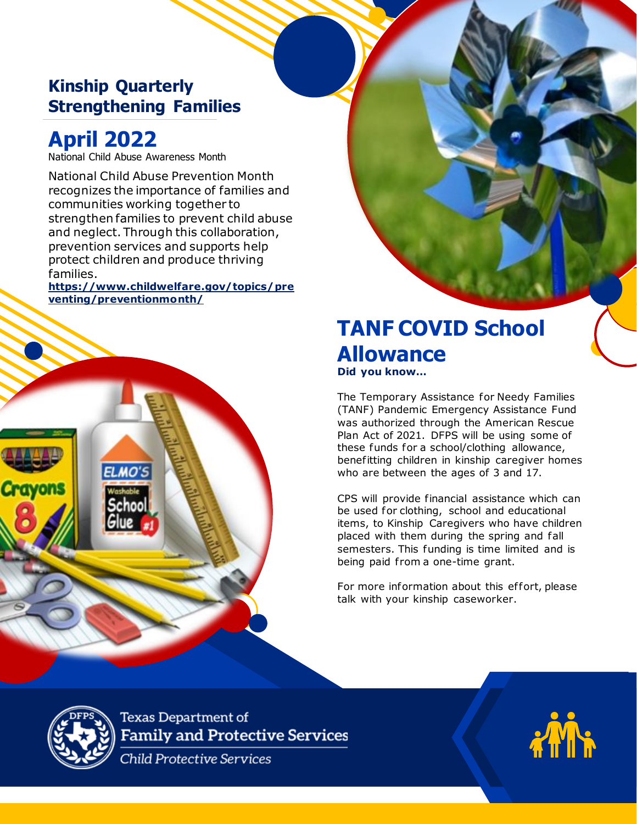# **Kinship Quarterly Strengthening Families**

# **April 2022**

National Child Abuse Awareness Month

National Child Abuse Prevention Month recognizes the importance of families and communities working together to strengthen families to prevent child abuse and neglect. Through this collaboration, prevention services and supports help protect children and produce thriving families.

**[https://www.childwelfare.gov/topics/pre](https://www.childwelfare.gov/topics/preventing/preventionmonth/) [venting/preventionmonth/](https://www.childwelfare.gov/topics/preventing/preventionmonth/)**



# **TANF COVID School Allowance Did you know…**

**PARENT TEACHERS** 

**ASSOCIATION 20XX**

The Temporary Assistance for Needy Families (TANF) Pandemic Emergency Assistance Fund was authorized through the American Rescue Plan Act of 2021. DFPS will be using some of these funds for a school/clothing allowance, benefitting children in kinship caregiver homes who are between the ages of 3 and 17.

CPS will provide financial assistance which can be used for clothing, school and educational items, to Kinship Caregivers who have children placed with them during the spring and fall semesters. This funding is time limited and is being paid from a one-time grant.

For more information about this effort, please talk with your kinship caseworker.

**Texas Department of Family and Protective Services** 

**Child Protective Services**